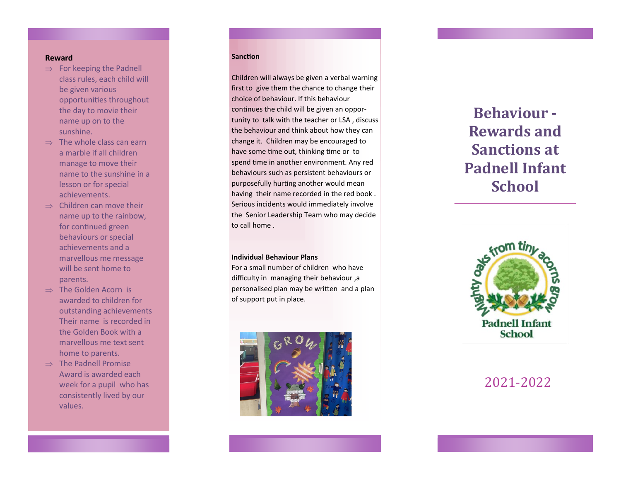## **Reward**

- $\Rightarrow$  For keeping the Padnell class rules, each child will be given various opportunities throughout the day to movie their name up on to the sunshine.
- $\Rightarrow$  The whole class can earn a marble if all children manage to move their name to the sunshine in a lesson or for special achievements.
- $\Rightarrow$  Children can move their name up to the rainbow, for continued green behaviours or special achievements and a marvellous me message will be sent home to parents.
- $\Rightarrow$  The Golden Acorn is awarded to children for outstanding achievements Their name is recorded in the Golden Book with a marvellous me text sent home to parents.
- $\Rightarrow$  The Padnell Promise Award is awarded each week for a pupil who has consistently lived by our values.

## **Sanction**

Sa

Children will always be given a verbal warning first to give them the chance to change their choice of behaviour. If this behaviour continues the child will be given an opportunity to talk with the teacher or LSA , discuss the behaviour and think about how they can change it. Children may be encouraged to have some time out, thinking time or to spend time in another environment. Any red behaviours such as persistent behaviours or purposefully hurting another would mean having their name recorded in the red book . Serious incidents would immediately involve the Senior Leadership Team who may decide to call home .

#### **Individual Behaviour Plans**

For a small number of children who have difficulty in managing their behaviour ,a personalised plan may be written and a plan of support put in place.



# **Behaviour - Rewards and Sanctions at Padnell Infant School**



2021 -2022